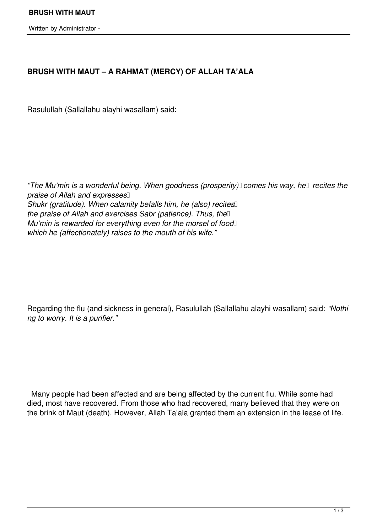Written by Administrator -

## **BRUSH WITH MAUT – A RAHMAT (MERCY) OF ALLAH TA'ALA**

Rasulullah (Sallallahu alayhi wasallam) said:

*"The Mu'min is a wonderful being. When goodness (prosperity) comes his way, he* recites the *praise of Allah and expresses Shukr (gratitude). When calamity befalls him, he (also) recites the praise of Allah and exercises Sabr (patience). Thus, the Mu'min is rewarded for everything even for the morsel of food which he (affectionately) raises to the mouth of his wife."*

Regarding the flu (and sickness in general), Rasulullah (Sallallahu alayhi wasallam) said: *"Nothi ng to worry. It is a purifier."*

 Many people had been affected and are being affected by the current flu. While some had died, most have recovered. From those who had recovered, many believed that they were on the brink of Maut (death). However, Allah Ta'ala granted them an extension in the lease of life.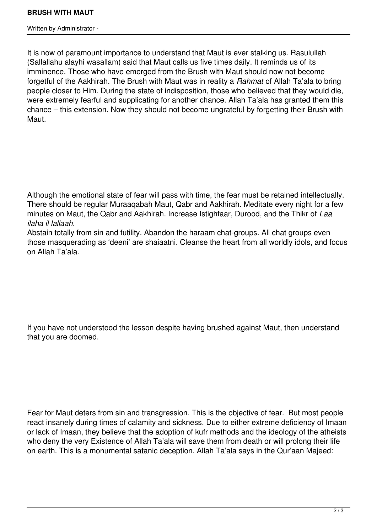Written by Administrator -

It is now of paramount importance to understand that Maut is ever stalking us. Rasulullah (Sallallahu alayhi wasallam) said that Maut calls us five times daily. It reminds us of its imminence. Those who have emerged from the Brush with Maut should now not become forgetful of the Aakhirah. The Brush with Maut was in reality a *Rahmat* of Allah Ta'ala to bring people closer to Him. During the state of indisposition, those who believed that they would die, were extremely fearful and supplicating for another chance. Allah Ta'ala has granted them this chance – this extension. Now they should not become ungrateful by forgetting their Brush with Maut.

Although the emotional state of fear will pass with time, the fear must be retained intellectually. There should be regular Muraaqabah Maut, Qabr and Aakhirah. Meditate every night for a few minutes on Maut, the Qabr and Aakhirah. Increase Istighfaar, Durood, and the Thikr of *Laa ilaha il lallaah.*

Abstain totally from sin and futility. Abandon the haraam chat-groups. All chat groups even those masquerading as 'deeni' are shaiaatni. Cleanse the heart from all worldly idols, and focus on Allah Ta'ala.

If you have not understood the lesson despite having brushed against Maut, then understand that you are doomed.

Fear for Maut deters from sin and transgression. This is the objective of fear. But most people react insanely during times of calamity and sickness. Due to either extreme deficiency of Imaan or lack of Imaan, they believe that the adoption of kufr methods and the ideology of the atheists who deny the very Existence of Allah Ta'ala will save them from death or will prolong their life on earth. This is a monumental satanic deception. Allah Ta'ala says in the Qur'aan Majeed: